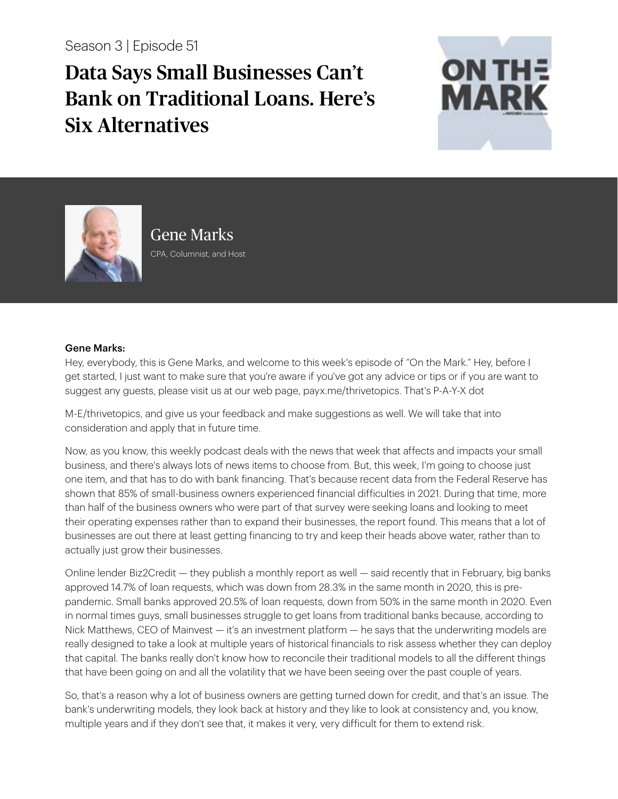Season 3 | Episode 51

## Data Says Small Businesses Can't Bank on Traditional Loans. Here's Six Alternatives





Gene Marks CPA, Columnist, and Host

## Gene Marks:

Hey, everybody, this is Gene Marks, and welcome to this week's episode of "On the Mark." Hey, before I get started, I just want to make sure that you're aware if you've got any advice or tips or if you are want to suggest any guests, please visit us at our web page, payx.me/thrivetopics. That's P-A-Y-X dot

M-E/thrivetopics, and give us your feedback and make suggestions as well. We will take that into consideration and apply that in future time.

Now, as you know, this weekly podcast deals with the news that week that affects and impacts your small business, and there's always lots of news items to choose from. But, this week, I'm going to choose just one item, and that has to do with bank financing. That's because recent data from the Federal Reserve has shown that 85% of small-business owners experienced financial difficulties in 2021. During that time, more than half of the business owners who were part of that survey were seeking loans and looking to meet their operating expenses rather than to expand their businesses, the report found. This means that a lot of businesses are out there at least getting financing to try and keep their heads above water, rather than to actually just grow their businesses.

Online lender Biz2Credit — they publish a monthly report as well — said recently that in February, big banks approved 14.7% of loan requests, which was down from 28.3% in the same month in 2020, this is prepandemic. Small banks approved 20.5% of loan requests, down from 50% in the same month in 2020. Even in normal times guys, small businesses struggle to get loans from traditional banks because, according to Nick Matthews, CEO of Mainvest — it's an investment platform — he says that the underwriting models are really designed to take a look at multiple years of historical financials to risk assess whether they can deploy that capital. The banks really don't know how to reconcile their traditional models to all the different things that have been going on and all the volatility that we have been seeing over the past couple of years.

So, that's a reason why a lot of business owners are getting turned down for credit, and that's an issue. The bank's underwriting models, they look back at history and they like to look at consistency and, you know, multiple years and if they don't see that, it makes it very, very difficult for them to extend risk.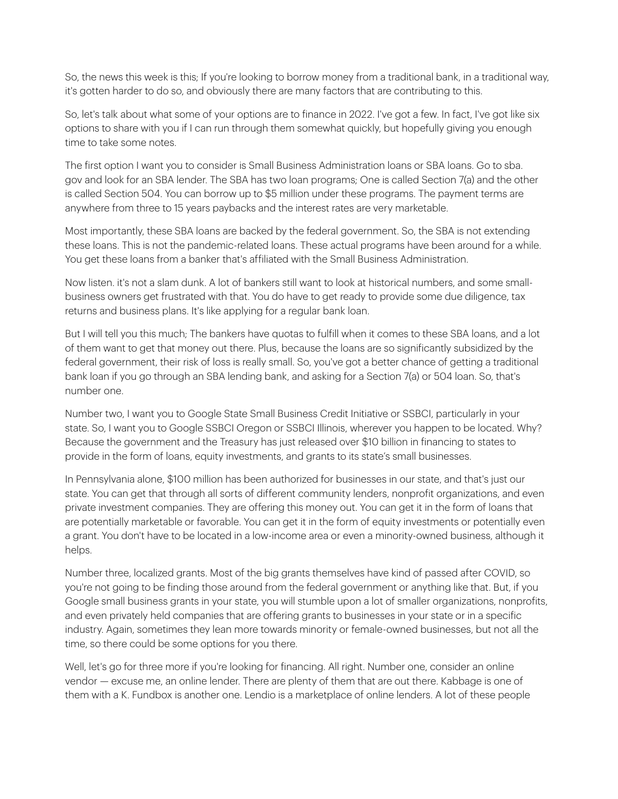So, the news this week is this; If you're looking to borrow money from a traditional bank, in a traditional way, it's gotten harder to do so, and obviously there are many factors that are contributing to this.

So, let's talk about what some of your options are to finance in 2022. I've got a few. In fact, I've got like six options to share with you if I can run through them somewhat quickly, but hopefully giving you enough time to take some notes.

The first option I want you to consider is Small Business Administration loans or SBA loans. Go to sba. gov and look for an SBA lender. The SBA has two loan programs; One is called Section 7(a) and the other is called Section 504. You can borrow up to \$5 million under these programs. The payment terms are anywhere from three to 15 years paybacks and the interest rates are very marketable.

Most importantly, these SBA loans are backed by the federal government. So, the SBA is not extending these loans. This is not the pandemic-related loans. These actual programs have been around for a while. You get these loans from a banker that's affiliated with the Small Business Administration.

Now listen. it's not a slam dunk. A lot of bankers still want to look at historical numbers, and some smallbusiness owners get frustrated with that. You do have to get ready to provide some due diligence, tax returns and business plans. It's like applying for a regular bank loan.

But I will tell you this much; The bankers have quotas to fulfill when it comes to these SBA loans, and a lot of them want to get that money out there. Plus, because the loans are so significantly subsidized by the federal government, their risk of loss is really small. So, you've got a better chance of getting a traditional bank loan if you go through an SBA lending bank, and asking for a Section 7(a) or 504 loan. So, that's number one.

Number two, I want you to Google State Small Business Credit Initiative or SSBCI, particularly in your state. So, I want you to Google SSBCI Oregon or SSBCI Illinois, wherever you happen to be located. Why? Because the government and the Treasury has just released over \$10 billion in financing to states to provide in the form of loans, equity investments, and grants to its state's small businesses.

In Pennsylvania alone, \$100 million has been authorized for businesses in our state, and that's just our state. You can get that through all sorts of different community lenders, nonprofit organizations, and even private investment companies. They are offering this money out. You can get it in the form of loans that are potentially marketable or favorable. You can get it in the form of equity investments or potentially even a grant. You don't have to be located in a low-income area or even a minority-owned business, although it helps.

Number three, localized grants. Most of the big grants themselves have kind of passed after COVID, so you're not going to be finding those around from the federal government or anything like that. But, if you Google small business grants in your state, you will stumble upon a lot of smaller organizations, nonprofits, and even privately held companies that are offering grants to businesses in your state or in a specific industry. Again, sometimes they lean more towards minority or female-owned businesses, but not all the time, so there could be some options for you there.

Well, let's go for three more if you're looking for financing. All right. Number one, consider an online vendor — excuse me, an online lender. There are plenty of them that are out there. Kabbage is one of them with a K. Fundbox is another one. Lendio is a marketplace of online lenders. A lot of these people